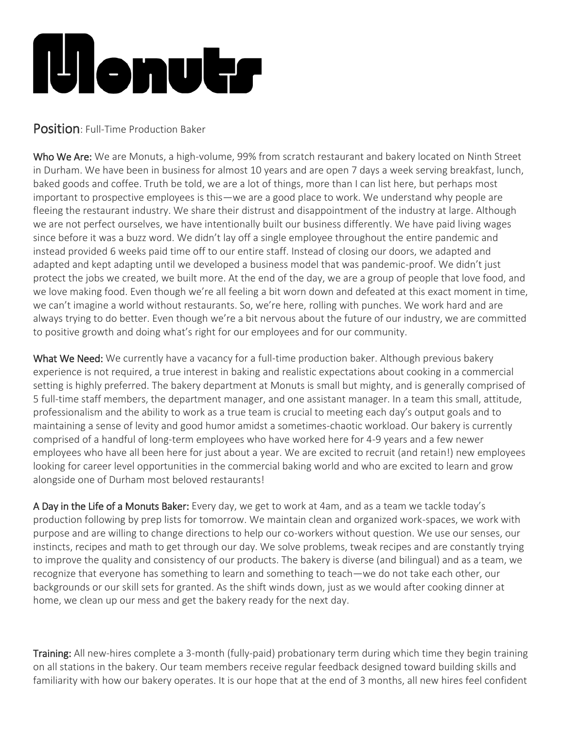## **illenutr**

## Position: Full-Time Production Baker

Who We Are: We are Monuts, a high-volume, 99% from scratch restaurant and bakery located on Ninth Street in Durham. We have been in business for almost 10 years and are open 7 days a week serving breakfast, lunch, baked goods and coffee. Truth be told, we are a lot of things, more than I can list here, but perhaps most important to prospective employees is this—we are a good place to work. We understand why people are fleeing the restaurant industry. We share their distrust and disappointment of the industry at large. Although we are not perfect ourselves, we have intentionally built our business differently. We have paid living wages since before it was a buzz word. We didn't lay off a single employee throughout the entire pandemic and instead provided 6 weeks paid time off to our entire staff. Instead of closing our doors, we adapted and adapted and kept adapting until we developed a business model that was pandemic-proof. We didn't just protect the jobs we created, we built more. At the end of the day, we are a group of people that love food, and we love making food. Even though we're all feeling a bit worn down and defeated at this exact moment in time, we can't imagine a world without restaurants. So, we're here, rolling with punches. We work hard and are always trying to do better. Even though we're a bit nervous about the future of our industry, we are committed to positive growth and doing what's right for our employees and for our community.

What We Need: We currently have a vacancy for a full-time production baker. Although previous bakery experience is not required, a true interest in baking and realistic expectations about cooking in a commercial setting is highly preferred. The bakery department at Monuts is small but mighty, and is generally comprised of 5 full-time staff members, the department manager, and one assistant manager. In a team this small, attitude, professionalism and the ability to work as a true team is crucial to meeting each day's output goals and to maintaining a sense of levity and good humor amidst a sometimes-chaotic workload. Our bakery is currently comprised of a handful of long-term employees who have worked here for 4-9 years and a few newer employees who have all been here for just about a year. We are excited to recruit (and retain!) new employees looking for career level opportunities in the commercial baking world and who are excited to learn and grow alongside one of Durham most beloved restaurants!

A Day in the Life of a Monuts Baker: Every day, we get to work at 4am, and as a team we tackle today's production following by prep lists for tomorrow. We maintain clean and organized work-spaces, we work with purpose and are willing to change directions to help our co-workers without question. We use our senses, our instincts, recipes and math to get through our day. We solve problems, tweak recipes and are constantly trying to improve the quality and consistency of our products. The bakery is diverse (and bilingual) and as a team, we recognize that everyone has something to learn and something to teach—we do not take each other, our backgrounds or our skill sets for granted. As the shift winds down, just as we would after cooking dinner at home, we clean up our mess and get the bakery ready for the next day.

Training: All new-hires complete a 3-month (fully-paid) probationary term during which time they begin training on all stations in the bakery. Our team members receive regular feedback designed toward building skills and familiarity with how our bakery operates. It is our hope that at the end of 3 months, all new hires feel confident